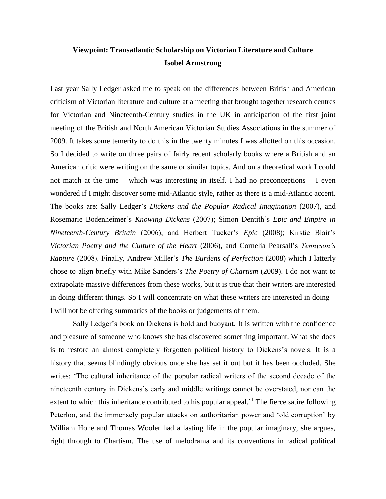# **Viewpoint: Transatlantic Scholarship on Victorian Literature and Culture Isobel Armstrong**

Last year Sally Ledger asked me to speak on the differences between British and American criticism of Victorian literature and culture at a meeting that brought together research centres for Victorian and Nineteenth-Century studies in the UK in anticipation of the first joint meeting of the British and North American Victorian Studies Associations in the summer of 2009. It takes some temerity to do this in the twenty minutes I was allotted on this occasion. So I decided to write on three pairs of fairly recent scholarly books where a British and an American critic were writing on the same or similar topics. And on a theoretical work I could not match at the time – which was interesting in itself. I had no preconceptions – I even wondered if I might discover some mid-Atlantic style, rather as there is a mid-Atlantic accent. The books are: Sally Ledger's *Dickens and the Popular Radical Imagination* (2007), and Rosemarie Bodenheimer's *Knowing Dickens* (2007); Simon Dentith's *Epic and Empire in Nineteenth-Century Britain* (2006), and Herbert Tucker's *Epic* (2008); Kirstie Blair's *Victorian Poetry and the Culture of the Heart* (2006), and Cornelia Pearsall's *Tennyson's Rapture* (2008). Finally, Andrew Miller's *The Burdens of Perfection* (2008) which I latterly chose to align briefly with Mike Sanders's *The Poetry of Chartism* (2009). I do not want to extrapolate massive differences from these works, but it is true that their writers are interested in doing different things. So I will concentrate on what these writers are interested in doing – I will not be offering summaries of the books or judgements of them.

Sally Ledger's book on Dickens is bold and buoyant. It is written with the confidence and pleasure of someone who knows she has discovered something important. What she does is to restore an almost completely forgotten political history to Dickens's novels. It is a history that seems blindingly obvious once she has set it out but it has been occluded. She writes: 'The cultural inheritance of the popular radical writers of the second decade of the nineteenth century in Dickens's early and middle writings cannot be overstated, nor can the extent to which this inheritance contributed to his popular appeal.<sup> $1$ </sup> The fierce satire following Peterloo, and the immensely popular attacks on authoritarian power and 'old corruption' by William Hone and Thomas Wooler had a lasting life in the popular imaginary, she argues, right through to Chartism. The use of melodrama and its conventions in radical political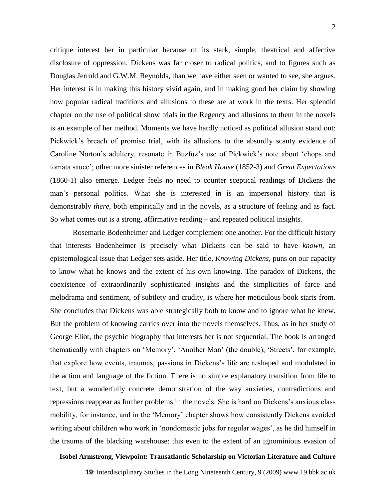critique interest her in particular because of its stark, simple, theatrical and affective disclosure of oppression. Dickens was far closer to radical politics, and to figures such as Douglas Jerrold and G.W.M. Reynolds, than we have either seen or wanted to see, she argues. Her interest is in making this history vivid again, and in making good her claim by showing how popular radical traditions and allusions to these are at work in the texts. Her splendid chapter on the use of political show trials in the Regency and allusions to them in the novels is an example of her method. Moments we have hardly noticed as political allusion stand out: Pickwick's breach of promise trial, with its allusions to the absurdly scanty evidence of Caroline Norton's adultery, resonate in Buzfuz's use of Pickwick's note about 'chops and tomata sauce'; other more sinister references in *Bleak House* (1852-3) and *Great Expectations* (1860-1) also emerge. Ledger feels no need to counter sceptical readings of Dickens the man's personal politics. What she is interested in is an impersonal history that is demonstrably *there*, both empirically and in the novels, as a structure of feeling and as fact. So what comes out is a strong, affirmative reading – and repeated political insights.

Rosemarie Bodenheimer and Ledger complement one another. For the difficult history that interests Bodenheimer is precisely what Dickens can be said to have *known*, an epistemological issue that Ledger sets aside. Her title, *Knowing Dickens*, puns on our capacity to know what he knows and the extent of his own knowing. The paradox of Dickens, the coexistence of extraordinarily sophisticated insights and the simplicities of farce and melodrama and sentiment, of subtlety and crudity, is where her meticulous book starts from. She concludes that Dickens was able strategically both to know and to ignore what he knew. But the problem of knowing carries over into the novels themselves. Thus, as in her study of George Eliot, the psychic biography that interests her is not sequential. The book is arranged thematically with chapters on 'Memory', 'Another Man' (the double), 'Streets', for example, that explore how events, traumas, passions in Dickens's life are reshaped and modulated in the action and language of the fiction. There is no simple explanatory transition from life to text, but a wonderfully concrete demonstration of the way anxieties, contradictions and repressions reappear as further problems in the novels. She is hard on Dickens's anxious class mobility, for instance, and in the 'Memory' chapter shows how consistently Dickens avoided writing about children who work in 'nondomestic jobs for regular wages', as he did himself in the trauma of the blacking warehouse: this even to the extent of an ignominious evasion of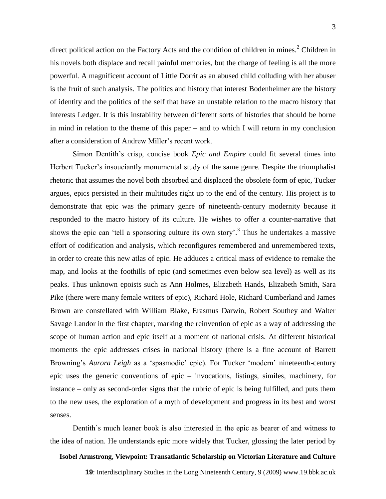direct political action on the Factory Acts and the condition of children in mines.<sup>2</sup> Children in his novels both displace and recall painful memories, but the charge of feeling is all the more powerful. A magnificent account of Little Dorrit as an abused child colluding with her abuser is the fruit of such analysis. The politics and history that interest Bodenheimer are the history of identity and the politics of the self that have an unstable relation to the macro history that interests Ledger. It is this instability between different sorts of histories that should be borne in mind in relation to the theme of this paper – and to which I will return in my conclusion after a consideration of Andrew Miller's recent work.

Simon Dentith's crisp, concise book *Epic and Empire* could fit several times into Herbert Tucker's insouciantly monumental study of the same genre. Despite the triumphalist rhetoric that assumes the novel both absorbed and displaced the obsolete form of epic, Tucker argues, epics persisted in their multitudes right up to the end of the century. His project is to demonstrate that epic was the primary genre of nineteenth-century modernity because it responded to the macro history of its culture. He wishes to offer a counter-narrative that shows the epic can 'tell a sponsoring culture its own story'.<sup>3</sup> Thus he undertakes a massive effort of codification and analysis, which reconfigures remembered and unremembered texts, in order to create this new atlas of epic. He adduces a critical mass of evidence to remake the map, and looks at the foothills of epic (and sometimes even below sea level) as well as its peaks. Thus unknown epoists such as Ann Holmes, Elizabeth Hands, Elizabeth Smith, Sara Pike (there were many female writers of epic), Richard Hole, Richard Cumberland and James Brown are constellated with William Blake, Erasmus Darwin, Robert Southey and Walter Savage Landor in the first chapter, marking the reinvention of epic as a way of addressing the scope of human action and epic itself at a moment of national crisis. At different historical moments the epic addresses crises in national history (there is a fine account of Barrett Browning's *Aurora Leigh* as a 'spasmodic' epic). For Tucker 'modern' nineteenth-century epic uses the generic conventions of epic – invocations, listings, similes, machinery, for instance – only as second-order signs that the rubric of epic is being fulfilled, and puts them to the new uses, the exploration of a myth of development and progress in its best and worst senses.

Dentith's much leaner book is also interested in the epic as bearer of and witness to the idea of nation. He understands epic more widely that Tucker, glossing the later period by

### **Isobel Armstrong, Viewpoint: Transatlantic Scholarship on Victorian Literature and Culture**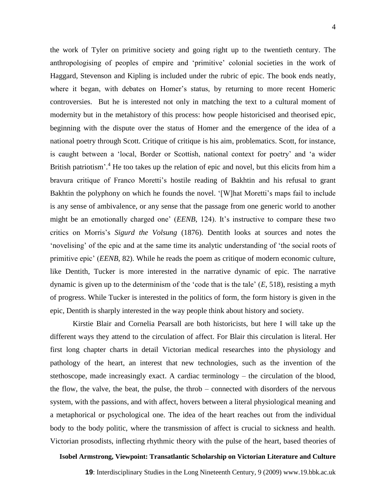the work of Tyler on primitive society and going right up to the twentieth century. The anthropologising of peoples of empire and 'primitive' colonial societies in the work of Haggard, Stevenson and Kipling is included under the rubric of epic. The book ends neatly, where it began, with debates on Homer's status, by returning to more recent Homeric controversies. But he is interested not only in matching the text to a cultural moment of modernity but in the metahistory of this process: how people historicised and theorised epic, beginning with the dispute over the status of Homer and the emergence of the idea of a national poetry through Scott. Critique of critique is his aim, problematics. Scott, for instance, is caught between a 'local, Border or Scottish, national context for poetry' and 'a wider British patriotism'.<sup>4</sup> He too takes up the relation of epic and novel, but this elicits from him a bravura critique of Franco Moretti's hostile reading of Bakhtin and his refusal to grant Bakhtin the polyphony on which he founds the novel. '[W]hat Moretti's maps fail to include is any sense of ambivalence, or any sense that the passage from one generic world to another might be an emotionally charged one' (*EENB*, 124). It's instructive to compare these two critics on Morris's *Sigurd the Volsung* (1876). Dentith looks at sources and notes the 'novelising' of the epic and at the same time its analytic understanding of 'the social roots of primitive epic' (*EENB*, 82). While he reads the poem as critique of modern economic culture, like Dentith, Tucker is more interested in the narrative dynamic of epic. The narrative dynamic is given up to the determinism of the 'code that is the tale' (*E*, 518), resisting a myth of progress. While Tucker is interested in the politics of form, the form history is given in the epic, Dentith is sharply interested in the way people think about history and society.

Kirstie Blair and Cornelia Pearsall are both historicists, but here I will take up the different ways they attend to the circulation of affect. For Blair this circulation is literal. Her first long chapter charts in detail Victorian medical researches into the physiology and pathology of the heart, an interest that new technologies, such as the invention of the stethoscope, made increasingly exact. A cardiac terminology – the circulation of the blood, the flow, the valve, the beat, the pulse, the throb – connected with disorders of the nervous system, with the passions, and with affect, hovers between a literal physiological meaning and a metaphorical or psychological one. The idea of the heart reaches out from the individual body to the body politic, where the transmission of affect is crucial to sickness and health. Victorian prosodists, inflecting rhythmic theory with the pulse of the heart, based theories of

#### **Isobel Armstrong, Viewpoint: Transatlantic Scholarship on Victorian Literature and Culture**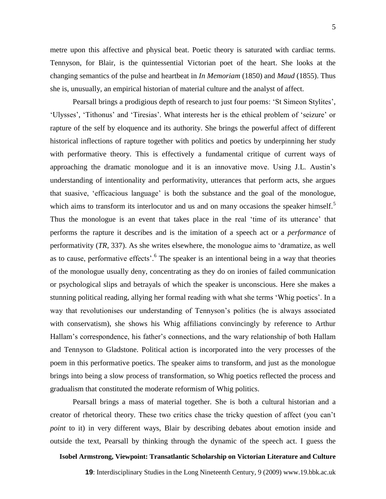metre upon this affective and physical beat. Poetic theory is saturated with cardiac terms. Tennyson, for Blair, is the quintessential Victorian poet of the heart. She looks at the changing semantics of the pulse and heartbeat in *In Memoriam* (1850) and *Maud* (1855). Thus she is, unusually, an empirical historian of material culture and the analyst of affect.

Pearsall brings a prodigious depth of research to just four poems: 'St Simeon Stylites', 'Ulysses', 'Tithonus' and 'Tiresias'. What interests her is the ethical problem of 'seizure' or rapture of the self by eloquence and its authority. She brings the powerful affect of different historical inflections of rapture together with politics and poetics by underpinning her study with performative theory. This is effectively a fundamental critique of current ways of approaching the dramatic monologue and it is an innovative move. Using J.L. Austin's understanding of intentionality and performativity, utterances that perform acts, she argues that suasive, 'efficacious language' is both the substance and the goal of the monologue, which aims to transform its interlocutor and us and on many occasions the speaker himself.<sup>5</sup> Thus the monologue is an event that takes place in the real 'time of its utterance' that performs the rapture it describes and is the imitation of a speech act or a *performance* of performativity (*TR*, 337). As she writes elsewhere, the monologue aims to 'dramatize, as well as to cause, performative effects'.<sup>6</sup> The speaker is an intentional being in a way that theories of the monologue usually deny, concentrating as they do on ironies of failed communication or psychological slips and betrayals of which the speaker is unconscious. Here she makes a stunning political reading, allying her formal reading with what she terms 'Whig poetics'. In a way that revolutionises our understanding of Tennyson's politics (he is always associated with conservatism), she shows his Whig affiliations convincingly by reference to Arthur Hallam's correspondence, his father's connections, and the wary relationship of both Hallam and Tennyson to Gladstone. Political action is incorporated into the very processes of the poem in this performative poetics. The speaker aims to transform, and just as the monologue brings into being a slow process of transformation, so Whig poetics reflected the process and gradualism that constituted the moderate reformism of Whig politics.

Pearsall brings a mass of material together. She is both a cultural historian and a creator of rhetorical theory. These two critics chase the tricky question of affect (you can't *point* to it) in very different ways, Blair by describing debates about emotion inside and outside the text, Pearsall by thinking through the dynamic of the speech act. I guess the

## **Isobel Armstrong, Viewpoint: Transatlantic Scholarship on Victorian Literature and Culture**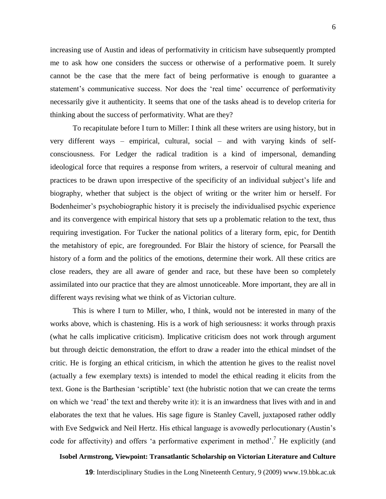increasing use of Austin and ideas of performativity in criticism have subsequently prompted me to ask how one considers the success or otherwise of a performative poem. It surely cannot be the case that the mere fact of being performative is enough to guarantee a statement's communicative success. Nor does the 'real time' occurrence of performativity necessarily give it authenticity. It seems that one of the tasks ahead is to develop criteria for thinking about the success of performativity. What are they?

To recapitulate before I turn to Miller: I think all these writers are using history, but in very different ways – empirical, cultural, social – and with varying kinds of selfconsciousness. For Ledger the radical tradition is a kind of impersonal, demanding ideological force that requires a response from writers, a reservoir of cultural meaning and practices to be drawn upon irrespective of the specificity of an individual subject's life and biography, whether that subject is the object of writing or the writer him or herself. For Bodenheimer's psychobiographic history it is precisely the individualised psychic experience and its convergence with empirical history that sets up a problematic relation to the text, thus requiring investigation. For Tucker the national politics of a literary form, epic, for Dentith the metahistory of epic, are foregrounded. For Blair the history of science, for Pearsall the history of a form and the politics of the emotions, determine their work. All these critics are close readers, they are all aware of gender and race, but these have been so completely assimilated into our practice that they are almost unnoticeable. More important, they are all in different ways revising what we think of as Victorian culture.

This is where I turn to Miller, who, I think, would not be interested in many of the works above, which is chastening. His is a work of high seriousness: it works through praxis (what he calls implicative criticism). Implicative criticism does not work through argument but through deictic demonstration, the effort to draw a reader into the ethical mindset of the critic. He is forging an ethical criticism, in which the attention he gives to the realist novel (actually a few exemplary texts) is intended to model the ethical reading it elicits from the text. Gone is the Barthesian 'scriptible' text (the hubristic notion that we can create the terms on which we 'read' the text and thereby write it): it is an inwardness that lives with and in and elaborates the text that he values. His sage figure is Stanley Cavell, juxtaposed rather oddly with Eve Sedgwick and Neil Hertz. His ethical language is avowedly perlocutionary (Austin's code for affectivity) and offers 'a performative experiment in method'.<sup>7</sup> He explicitly (and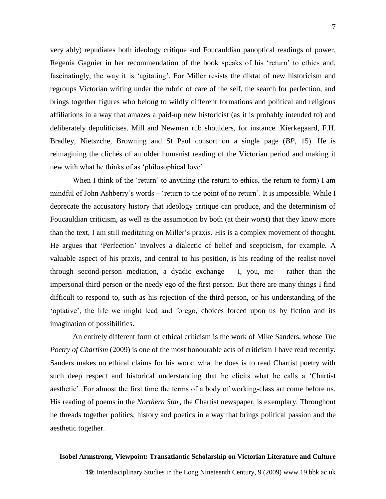very ably) repudiates both ideology critique and Foucauldian panoptical readings of power. Regenia Gagnier in her recommendation of the book speaks of his 'return' to ethics and, fascinatingly, the way it is 'agitating'. For Miller resists the diktat of new historicism and regroups Victorian writing under the rubric of care of the self, the search for perfection, and brings together figures who belong to wildly different formations and political and religious affiliations in a way that amazes a paid-up new historicist (as it is probably intended to) and deliberately depoliticises. Mill and Newman rub shoulders, for instance. Kierkegaard, F.H. Bradley, Nietszche, Browning and St Paul consort on a single page (*BP*, 15). He is reimagining the clichés of an older humanist reading of the Victorian period and making it new with what he thinks of as 'philosophical love'.

When I think of the 'return' to anything (the return to ethics, the return to form) I am mindful of John Ashberry's words – 'return to the point of no return'. It is impossible. While I deprecate the accusatory history that ideology critique can produce, and the determinism of Foucauldian criticism, as well as the assumption by both (at their worst) that they know more than the text, I am still meditating on Miller's praxis. His is a complex movement of thought. He argues that 'Perfection' involves a dialectic of belief and scepticism, for example. A valuable aspect of his praxis, and central to his position, is his reading of the realist novel through second-person mediation, a dyadic exchange – I, you, me – rather than the impersonal third person or the needy ego of the first person. But there are many things I find difficult to respond to, such as his rejection of the third person, or his understanding of the 'optative', the life we might lead and forego, choices forced upon us by fiction and its imagination of possibilities.

An entirely different form of ethical criticism is the work of Mike Sanders, whose *The Poetry of Chartism* (2009) is one of the most honourable acts of criticism I have read recently. Sanders makes no ethical claims for his work: what he does is to read Chartist poetry with such deep respect and historical understanding that he elicits what he calls a 'Chartist aesthetic'. For almost the first time the terms of a body of working-class art come before us. His reading of poems in the *Northern Star*, the Chartist newspaper, is exemplary. Throughout he threads together politics, history and poetics in a way that brings political passion and the aesthetic together.

### **Isobel Armstrong, Viewpoint: Transatlantic Scholarship on Victorian Literature and Culture**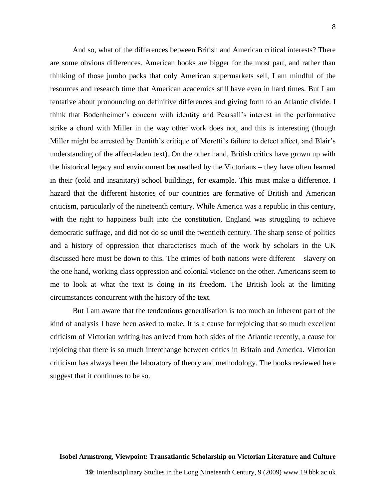8

And so, what of the differences between British and American critical interests? There are some obvious differences. American books are bigger for the most part, and rather than thinking of those jumbo packs that only American supermarkets sell, I am mindful of the resources and research time that American academics still have even in hard times. But I am tentative about pronouncing on definitive differences and giving form to an Atlantic divide. I think that Bodenheimer's concern with identity and Pearsall's interest in the performative strike a chord with Miller in the way other work does not, and this is interesting (though Miller might be arrested by Dentith's critique of Moretti's failure to detect affect, and Blair's understanding of the affect-laden text). On the other hand, British critics have grown up with the historical legacy and environment bequeathed by the Victorians – they have often learned in their (cold and insanitary) school buildings, for example. This must make a difference. I hazard that the different histories of our countries are formative of British and American criticism, particularly of the nineteenth century. While America was a republic in this century, with the right to happiness built into the constitution, England was struggling to achieve democratic suffrage, and did not do so until the twentieth century. The sharp sense of politics and a history of oppression that characterises much of the work by scholars in the UK discussed here must be down to this. The crimes of both nations were different – slavery on the one hand, working class oppression and colonial violence on the other. Americans seem to me to look at what the text is doing in its freedom. The British look at the limiting circumstances concurrent with the history of the text.

But I am aware that the tendentious generalisation is too much an inherent part of the kind of analysis I have been asked to make. It is a cause for rejoicing that so much excellent criticism of Victorian writing has arrived from both sides of the Atlantic recently, a cause for rejoicing that there is so much interchange between critics in Britain and America. Victorian criticism has always been the laboratory of theory and methodology. The books reviewed here suggest that it continues to be so.